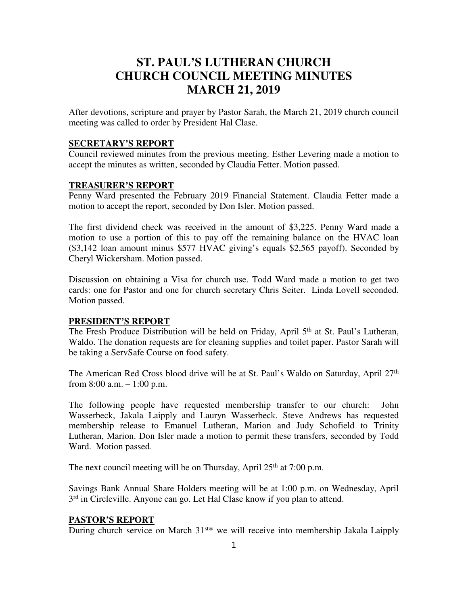# **ST. PAUL'S LUTHERAN CHURCH CHURCH COUNCIL MEETING MINUTES MARCH 21, 2019**

After devotions, scripture and prayer by Pastor Sarah, the March 21, 2019 church council meeting was called to order by President Hal Clase.

#### **SECRETARY'S REPORT**

Council reviewed minutes from the previous meeting. Esther Levering made a motion to accept the minutes as written, seconded by Claudia Fetter. Motion passed.

#### **TREASURER'S REPORT**

Penny Ward presented the February 2019 Financial Statement. Claudia Fetter made a motion to accept the report, seconded by Don Isler. Motion passed.

The first dividend check was received in the amount of \$3,225. Penny Ward made a motion to use a portion of this to pay off the remaining balance on the HVAC loan (\$3,142 loan amount minus \$577 HVAC giving's equals \$2,565 payoff). Seconded by Cheryl Wickersham. Motion passed.

Discussion on obtaining a Visa for church use. Todd Ward made a motion to get two cards: one for Pastor and one for church secretary Chris Seiter. Linda Lovell seconded. Motion passed.

#### **PRESIDENT'S REPORT**

The Fresh Produce Distribution will be held on Friday, April 5<sup>th</sup> at St. Paul's Lutheran, Waldo. The donation requests are for cleaning supplies and toilet paper. Pastor Sarah will be taking a ServSafe Course on food safety.

The American Red Cross blood drive will be at St. Paul's Waldo on Saturday, April 27<sup>th</sup> from 8:00 a.m. – 1:00 p.m.

The following people have requested membership transfer to our church: John Wasserbeck, Jakala Laipply and Lauryn Wasserbeck. Steve Andrews has requested membership release to Emanuel Lutheran, Marion and Judy Schofield to Trinity Lutheran, Marion. Don Isler made a motion to permit these transfers, seconded by Todd Ward. Motion passed.

The next council meeting will be on Thursday, April  $25<sup>th</sup>$  at 7:00 p.m.

Savings Bank Annual Share Holders meeting will be at 1:00 p.m. on Wednesday, April 3<sup>rd</sup> in Circleville. Anyone can go. Let Hal Clase know if you plan to attend.

#### **PASTOR'S REPORT**

During church service on March 31st\* we will receive into membership Jakala Laipply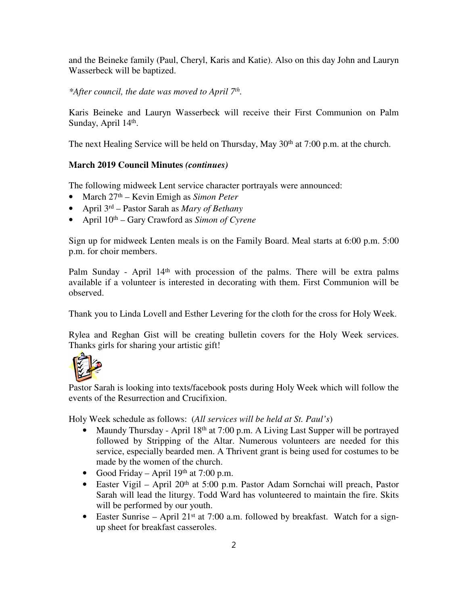and the Beineke family (Paul, Cheryl, Karis and Katie). Also on this day John and Lauryn Wasserbeck will be baptized.

*\*After council, the date was moved to April 7th .*

Karis Beineke and Lauryn Wasserbeck will receive their First Communion on Palm Sunday, April 14<sup>th</sup>.

The next Healing Service will be held on Thursday, May  $30<sup>th</sup>$  at 7:00 p.m. at the church.

# **March 2019 Council Minutes** *(continues)*

The following midweek Lent service character portrayals were announced:

- March 27th Kevin Emigh as *Simon Peter*
- April 3rd Pastor Sarah as *Mary of Bethany*
- April  $10^{th}$  Gary Crawford as *Simon of Cyrene*

Sign up for midweek Lenten meals is on the Family Board. Meal starts at 6:00 p.m. 5:00 p.m. for choir members.

Palm Sunday - April  $14<sup>th</sup>$  with procession of the palms. There will be extra palms available if a volunteer is interested in decorating with them. First Communion will be observed.

Thank you to Linda Lovell and Esther Levering for the cloth for the cross for Holy Week.

Rylea and Reghan Gist will be creating bulletin covers for the Holy Week services. Thanks girls for sharing your artistic gift!



Pastor Sarah is looking into texts/facebook posts during Holy Week which will follow the events of the Resurrection and Crucifixion.

Holy Week schedule as follows: (*All services will be held at St. Paul's*)

- Maundy Thursday April 18<sup>th</sup> at 7:00 p.m. A Living Last Supper will be portrayed followed by Stripping of the Altar. Numerous volunteers are needed for this service, especially bearded men. A Thrivent grant is being used for costumes to be made by the women of the church.
- Good Friday April  $19<sup>th</sup>$  at 7:00 p.m.
- Easter Vigil April  $20<sup>th</sup>$  at 5:00 p.m. Pastor Adam Sornchai will preach, Pastor Sarah will lead the liturgy. Todd Ward has volunteered to maintain the fire. Skits will be performed by our youth.
- Easter Sunrise April 21<sup>st</sup> at 7:00 a.m. followed by breakfast. Watch for a signup sheet for breakfast casseroles.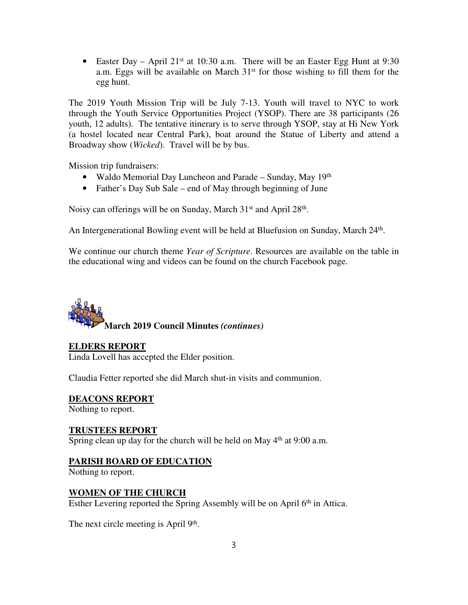• Easter Day – April 21<sup>st</sup> at 10:30 a.m. There will be an Easter Egg Hunt at 9:30 a.m. Eggs will be available on March  $31<sup>st</sup>$  for those wishing to fill them for the egg hunt.

The 2019 Youth Mission Trip will be July 7-13. Youth will travel to NYC to work through the Youth Service Opportunities Project (YSOP). There are 38 participants (26 youth, 12 adults). The tentative itinerary is to serve through YSOP, stay at Hi New York (a hostel located near Central Park), boat around the Statue of Liberty and attend a Broadway show (*Wicked*). Travel will be by bus.

Mission trip fundraisers:

- Waldo Memorial Day Luncheon and Parade Sunday, May 19th
- Father's Day Sub Sale end of May through beginning of June

Noisy can offerings will be on Sunday, March 31<sup>st</sup> and April 28<sup>th</sup>.

An Intergenerational Bowling event will be held at Bluefusion on Sunday, March 24<sup>th</sup>.

We continue our church theme *Year of Scripture*. Resources are available on the table in the educational wing and videos can be found on the church Facebook page.



#### **ELDERS REPORT**

Linda Lovell has accepted the Elder position.

Claudia Fetter reported she did March shut-in visits and communion.

**DEACONS REPORT**

Nothing to report.

# **TRUSTEES REPORT**

Spring clean up day for the church will be held on May 4<sup>th</sup> at 9:00 a.m.

# **PARISH BOARD OF EDUCATION**

Nothing to report.

#### **WOMEN OF THE CHURCH**

Esther Levering reported the Spring Assembly will be on April 6th in Attica.

The next circle meeting is April 9<sup>th</sup>.